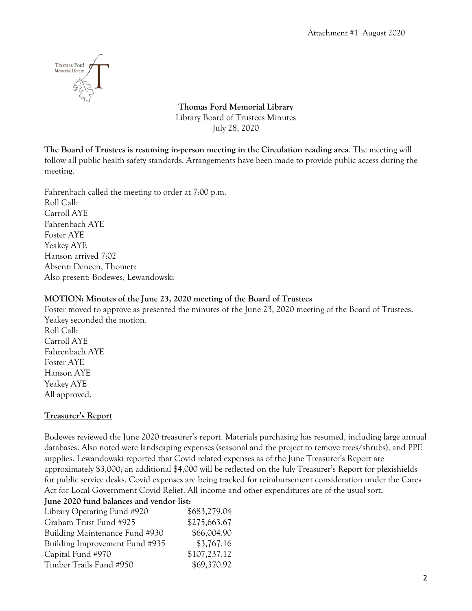

**Thomas Ford Memorial Library** Library Board of Trustees Minutes July 28, 2020

**The Board of Trustees is resuming in-person meeting in the Circulation reading area**. The meeting will follow all public health safety standards. Arrangements have been made to provide public access during the meeting.

Fahrenbach called the meeting to order at 7:00 p.m. Roll Call: Carroll AYE Fahrenbach AYE Foster AYE Yeakey AYE Hanson arrived 7:02 Absent: Deneen, Thometz Also present: Bodewes, Lewandowski

# **MOTION: Minutes of the June 23, 2020 meeting of the Board of Trustees**

Foster moved to approve as presented the minutes of the June 23, 2020 meeting of the Board of Trustees. Yeakey seconded the motion. Roll Call: Carroll AYE Fahrenbach AYE Foster AYE Hanson AYE Yeakey AYE All approved.

# **Treasurer's Report**

Bodewes reviewed the June 2020 treasurer's report. Materials purchasing has resumed, including large annual databases. Also noted were landscaping expenses (seasonal and the project to remove trees/shrubs), and PPE supplies. Lewandowski reported that Covid related expenses as of the June Treasurer's Report are approximately \$3,000; an additional \$4,000 will be reflected on the July Treasurer's Report for plexishields for public service desks. Covid expenses are being tracked for reimbursement consideration under the Cares Act for Local Government Covid Relief. All income and other expenditures are of the usual sort.

**June 2020 fund balances and vendor list:**

| \$683,279.04 |
|--------------|
| \$275,663.67 |
| \$66,004.90  |
| \$3,767.16   |
| \$107,237.12 |
| \$69,370.92  |
|              |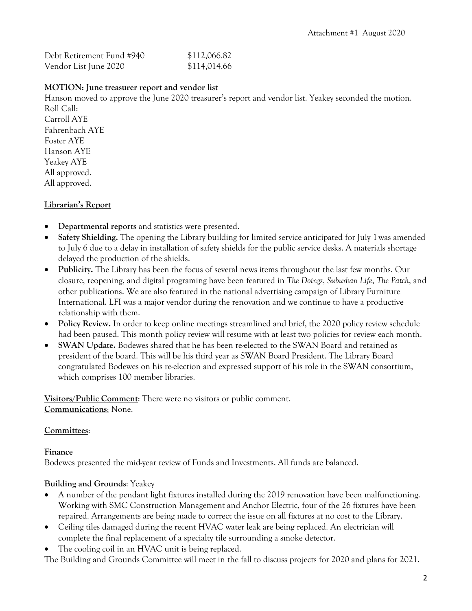| Debt Retirement Fund #940 | \$112,066.82 |
|---------------------------|--------------|
| Vendor List June 2020     | \$114,014.66 |

# **MOTION: June treasurer report and vendor list**

Hanson moved to approve the June 2020 treasurer's report and vendor list. Yeakey seconded the motion. Roll Call: Carroll AYE Fahrenbach AYE Foster AYE Hanson AYE Yeakey AYE All approved. All approved.

# **Librarian's Report**

- **Departmental reports** and statistics were presented.
- **Safety Shielding.** The opening the Library building for limited service anticipated for July 1was amended to July 6 due to a delay in installation of safety shields for the public service desks. A materials shortage delayed the production of the shields.
- **Publicity.** The Library has been the focus of several news items throughout the last few months. Our closure, reopening, and digital programing have been featured in *The Doings*, *Suburban Life*, *The Patch*, and other publications. We are also featured in the national advertising campaign of Library Furniture International. LFI was a major vendor during the renovation and we continue to have a productive relationship with them.
- **Policy Review.** In order to keep online meetings streamlined and brief, the 2020 policy review schedule had been paused. This month policy review will resume with at least two policies for review each month.
- **SWAN Update.** Bodewes shared that he has been re-elected to the SWAN Board and retained as president of the board. This will be his third year as SWAN Board President. The Library Board congratulated Bodewes on his re-election and expressed support of his role in the SWAN consortium, which comprises 100 member libraries.

**Visitors/Public Comment**: There were no visitors or public comment. **Communications**: None.

# **Committees**:

# **Finance**

Bodewes presented the mid-year review of Funds and Investments. All funds are balanced.

# **Building and Grounds**: Yeakey

- A number of the pendant light fixtures installed during the 2019 renovation have been malfunctioning. Working with SMC Construction Management and Anchor Electric, four of the 26 fixtures have been repaired. Arrangements are being made to correct the issue on all fixtures at no cost to the Library.
- Ceiling tiles damaged during the recent HVAC water leak are being replaced. An electrician will complete the final replacement of a specialty tile surrounding a smoke detector.
- The cooling coil in an HVAC unit is being replaced.

The Building and Grounds Committee will meet in the fall to discuss projects for 2020 and plans for 2021.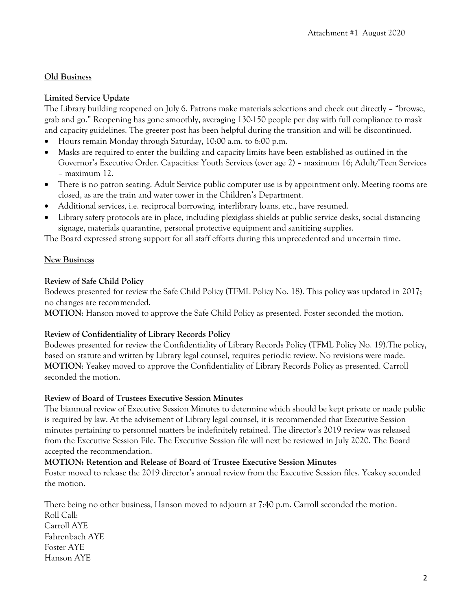# **Old Business**

# **Limited Service Update**

The Library building reopened on July 6. Patrons make materials selections and check out directly – "browse, grab and go." Reopening has gone smoothly, averaging 130-150 people per day with full compliance to mask and capacity guidelines. The greeter post has been helpful during the transition and will be discontinued.

- Hours remain Monday through Saturday, 10:00 a.m. to 6:00 p.m.
- Masks are required to enter the building and capacity limits have been established as outlined in the Governor's Executive Order. Capacities: Youth Services (over age 2) – maximum 16; Adult/Teen Services – maximum 12.
- There is no patron seating. Adult Service public computer use is by appointment only. Meeting rooms are closed, as are the train and water tower in the Children's Department.
- Additional services, i.e. reciprocal borrowing, interlibrary loans, etc., have resumed.
- Library safety protocols are in place, including plexiglass shields at public service desks, social distancing signage, materials quarantine, personal protective equipment and sanitizing supplies.

The Board expressed strong support for all staff efforts during this unprecedented and uncertain time.

# **New Business**

# **Review of Safe Child Policy**

Bodewes presented for review the Safe Child Policy (TFML Policy No. 18). This policy was updated in 2017; no changes are recommended.

**MOTION**: Hanson moved to approve the Safe Child Policy as presented. Foster seconded the motion.

# **Review of Confidentiality of Library Records Policy**

Bodewes presented for review the Confidentiality of Library Records Policy (TFML Policy No. 19).The policy, based on statute and written by Library legal counsel, requires periodic review. No revisions were made. **MOTION**: Yeakey moved to approve the Confidentiality of Library Records Policy as presented. Carroll seconded the motion.

# **Review of Board of Trustees Executive Session Minutes**

The biannual review of Executive Session Minutes to determine which should be kept private or made public is required by law. At the advisement of Library legal counsel, it is recommended that Executive Session minutes pertaining to personnel matters be indefinitely retained. The director's 2019 review was released from the Executive Session File. The Executive Session file will next be reviewed in July 2020. The Board accepted the recommendation.

# **MOTION: Retention and Release of Board of Trustee Executive Session Minutes**

Foster moved to release the 2019 director's annual review from the Executive Session files. Yeakey seconded the motion.

There being no other business, Hanson moved to adjourn at 7:40 p.m. Carroll seconded the motion. Roll Call: Carroll AYE Fahrenbach AYE Foster AYE Hanson AYE